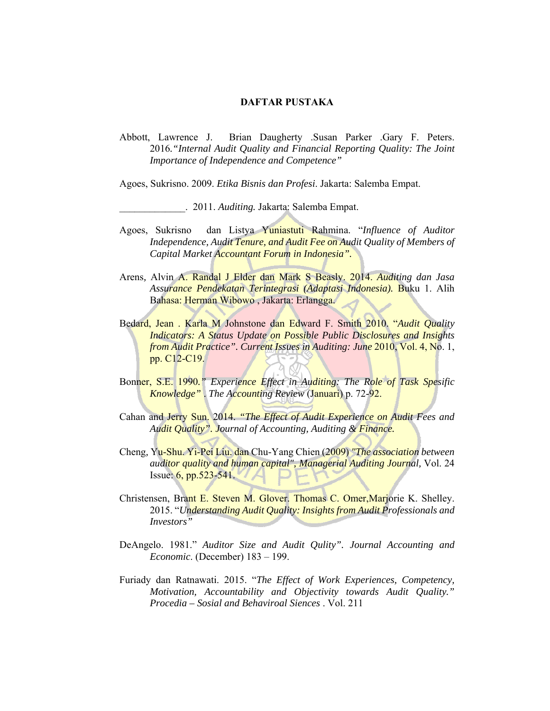## **DAFTAR PUSTAKA**

Abbott, Lawrence J. Brian Daugherty .Susan Parker .Gary F. Peters. 2016*."Internal Audit Quality and Financial Reporting Quality: The Joint Importance of Independence and Competence"*

Agoes, Sukrisno. 2009. *Etika Bisnis dan Profesi*. Jakarta: Salemba Empat.

\_\_\_\_\_\_\_\_\_\_\_\_\_. 2011. *Auditing.* Jakarta: Salemba Empat.

- Agoes, Sukrisno dan Listya Yuniastuti Rahmina. "*Influence of Auditor Independence, Audit Tenure, and Audit Fee on Audit Quality of Members of Capital Market Accountant Forum in Indonesia".*
- Arens*,* Alvin A. Randal J Elder dan Mark S Beasly. 2014. *Auditing dan Jasa Assurance Pendekatan Terintegrasi (Adaptasi Indonesia).* Buku 1. Alih Bahasa: Herman Wibowo , Jakarta: Erlangga.
- Bedard, Jean . Karla M Johnstone dan Edward F. Smith 2010. "*Audit Quality Indicators: A Status Update on Possible Public Disclosures and Insights from Audit Practice". Current Issues in Auditing: June* 2010, Vol. 4, No. 1, pp. C12-C19.
- Bonner, S.E. 1990*." Experience Effect in Auditing: The Role of Task Spesific Knowledge"* . *The Accounting Review* (Januari) p. 72-92.
- Cahan and Jerry Sun. 2014. *"The Effect of Audit Experience on Audit Fees and Audit Quality". Journal of Accounting, Auditing & Finance.*
- Cheng*,* Yu-Shu. Yi-Pei Liu. dan Chu-Yang Chien (2009) *"The association between auditor quality and human capital", Managerial Auditing Journal,* Vol. 24 Issue: 6, pp.523-541.
- Christensen, Brant E. Steven M. Glover. Thomas C. Omer, Marjorie K. Shelley. 2015. "*Understanding Audit Quality: Insights from Audit Professionals and Investors"*
- DeAngelo. 1981." *Auditor Size and Audit Qulity". Journal Accounting and Economic*. (December) 183 – 199.
- Furiady dan Ratnawati. 2015. "*The Effect of Work Experiences, Competency, Motivation, Accountability and Objectivity towards Audit Quality." Procedia – Sosial and Behaviroal Siences* . Vol. 211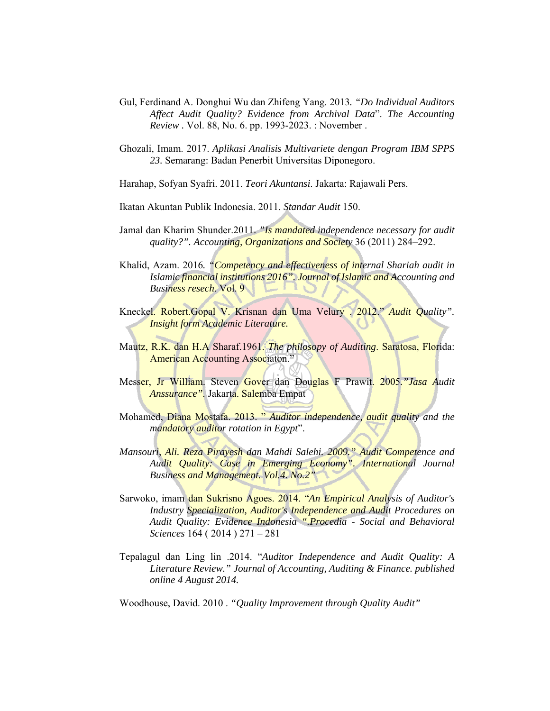- Gul, Ferdinand A. Donghui Wu dan Zhifeng Yang. 2013*. "Do Individual Auditors Affect Audit Quality? Evidence from Archival Data*". *The Accounting Review .* Vol. 88, No. 6. pp. 1993-2023. : November .
- Ghozali, Imam. 2017. *Aplikasi Analisis Multivariete dengan Program IBM SPPS 23.* Semarang: Badan Penerbit Universitas Diponegoro.
- Harahap, Sofyan Syafri. 2011. *Teori Akuntansi*. Jakarta: Rajawali Pers.
- Ikatan Akuntan Publik Indonesia. 2011. *Standar Audit* 150.
- Jamal dan Kharim Shunder.2011. *"Is mandated independence necessary for audit quality?". Accounting, Organizations and Society* 36 (2011) 284–292.
- Khalid, Azam. 2016*. "Competency and effectiveness of internal Shariah audit in Islamic financial institutions 2016". Journal of Islamic and Accounting and Business resech*. Vol. 9
- Kneckel. Robert.Gopal V. Krisnan dan Uma Velury . 2012." *Audit Quality". Insight form Academic Literature.*
- Mautz, R.K. dan H.A Sharaf.1961. *The philosopy of Auditing*. Saratosa, Florida: American Accounting Associaton."
- Messer, Jr William. Steven Gover dan Douglas F Prawit. 2005*."Jasa Audit Anssurance".* Jakarta. Salemba Empat
- Mohamed, Diana Mostafa. 2013. " *Auditor independence, audit quality and the mandatory auditor rotation in Egypt*".
- *Mansouri, Ali. Reza Pirayesh dan Mahdi Salehi. 2009." Audit Competence and Audit Quality: Case in Emerging Economy". International Journal Business and Management. Vol.4. No.2"*
- Sarwoko, imam dan Sukrisno Agoes. 2014. "*An Empirical Analysis of Auditor's Industry Specialization, Auditor's Independence and Audit Procedures on Audit Quality: Evidence Indonesia ".Procedia - Social and Behavioral Sciences* 164 ( 2014 ) 271 – 281
- Tepalagul dan Ling lin .2014. "*Auditor Independence and Audit Quality: A Literature Review." Journal of Accounting, Auditing & Finance. published online 4 August 2014.*

Woodhouse, David. 2010 . *"Quality Improvement through Quality Audit"*